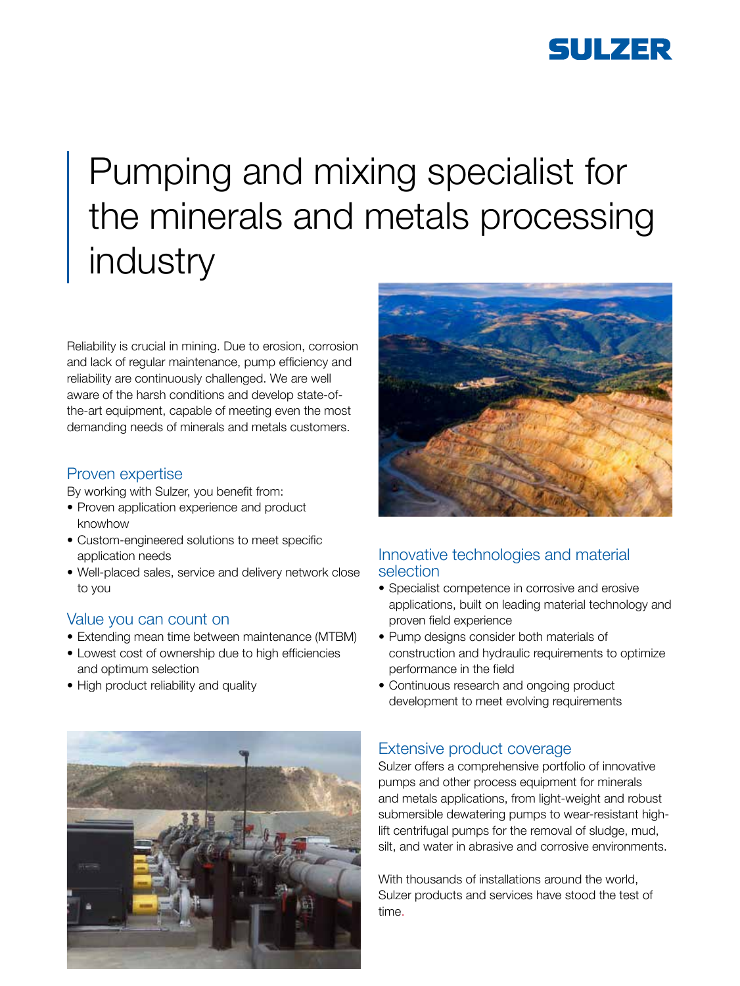

# Pumping and mixing specialist for the minerals and metals processing industry

Reliability is crucial in mining. Due to erosion, corrosion and lack of regular maintenance, pump efficiency and reliability are continuously challenged. We are well aware of the harsh conditions and develop state-ofthe-art equipment, capable of meeting even the most demanding needs of minerals and metals customers.

#### Proven expertise

By working with Sulzer, you benefit from:

- Proven application experience and product knowhow
- Custom-engineered solutions to meet specific application needs
- Well-placed sales, service and delivery network close to you

#### Value you can count on

- Extending mean time between maintenance (MTBM)
- Lowest cost of ownership due to high efficiencies and optimum selection
- High product reliability and quality





### Innovative technologies and material selection

- Specialist competence in corrosive and erosive applications, built on leading material technology and proven field experience
- Pump designs consider both materials of construction and hydraulic requirements to optimize performance in the field
- Continuous research and ongoing product development to meet evolving requirements

### Extensive product coverage

Sulzer offers a comprehensive portfolio of innovative pumps and other process equipment for minerals and metals applications, from light-weight and robust submersible dewatering pumps to wear-resistant highlift centrifugal pumps for the removal of sludge, mud, silt, and water in abrasive and corrosive environments.

With thousands of installations around the world, Sulzer products and services have stood the test of time.